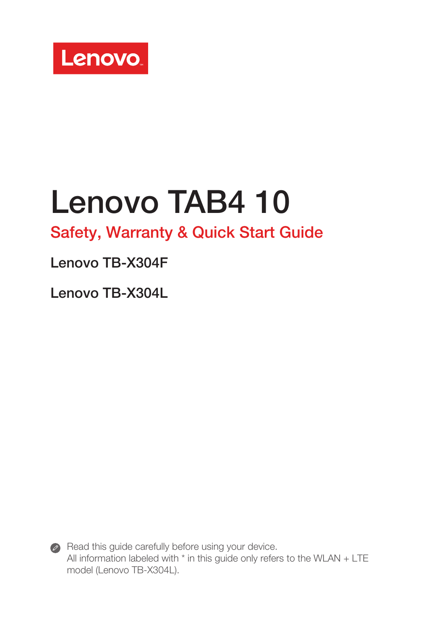

## Lenovo TAB4 10

## Safety, Warranty & Quick Start Guide

### Lenovo TB-X304F

Lenovo TB-X304L



Read this guide carefully before using your device. All information labeled with \* in this guide only refers to the WLAN + LTE model (Lenovo TB-X304L).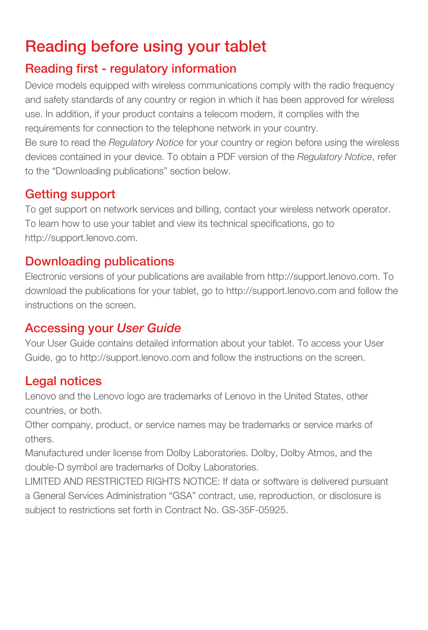## Reading before using your tablet

#### Reading first - regulatory information

Device models equipped with wireless communications comply with the radio frequency and safety standards of any country or region in which it has been approved for wireless use. In addition, if your product contains a telecom modem, it complies with the requirements for connection to the telephone network in your country.

Be sure to read the *Regulatory Notice* for your country or region before using the wireless devices contained in your device. To obtain a PDF version of the *Regulatory Notice*, refer to the "Downloading publications" section below.

#### Getting support

To get support on network services and billing, contact your wireless network operator. To learn how to use your tablet and view its technical specifications, go to http://support.lenovo.com.

#### Downloading publications

Electronic versions of your publications are available from http://support.lenovo.com. To download the publications for your tablet, go to http://support.lenovo.com and follow the instructions on the screen.

#### Accessing your *User Guide*

Your User Guide contains detailed information about your tablet. To access your User Guide, go to http://support.lenovo.com and follow the instructions on the screen.

#### Legal notices

Lenovo and the Lenovo logo are trademarks of Lenovo in the United States, other countries, or both.

Other company, product, or service names may be trademarks or service marks of others.

Manufactured under license from Dolby Laboratories. Dolby, Dolby Atmos, and the double-D symbol are trademarks of Dolby Laboratories.

LIMITED AND RESTRICTED RIGHTS NOTICE: If data or software is delivered pursuant a General Services Administration "GSA" contract, use, reproduction, or disclosure is subject to restrictions set forth in Contract No. GS-35F-05925.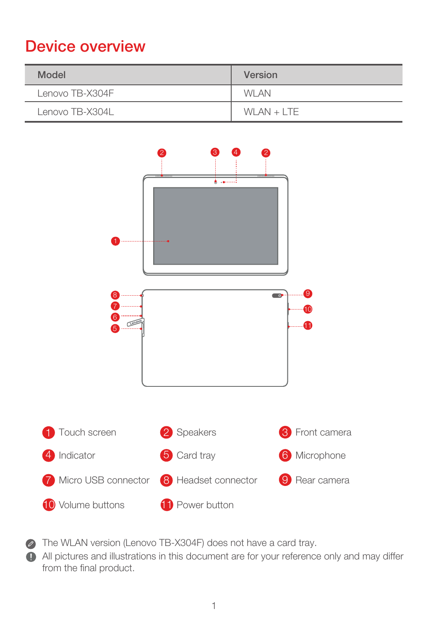## Device overview

| Model           | Version       |
|-----------------|---------------|
| Lenovo TB-X304F | <b>WI AN</b>  |
| Lenovo TB-X304L | $WI AN + ITF$ |



The WLAN version (Lenovo TB-X304F) does not have a card tray.

All pictures and illustrations in this document are for your reference only and may differ from the final product.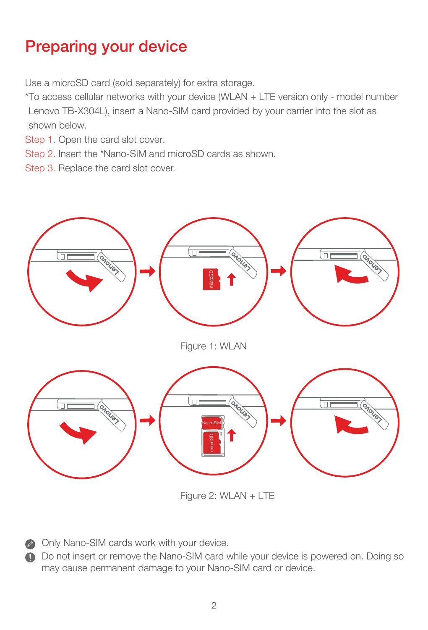## Preparing your device

Use a microSD card (sold separately) for extra storage.

\*To access cellular networks with your device (WLAN + LTE version only - model number Lenovo TB-X304L), insert a Nano-SIM card provided by your carrier into the slot as shown below.

- Step 1. Open the card slot cover.
- Step 2. Insert the \*Nano-SIM and microSD cards as shown.
- Step 3. Replace the card slot cover.



Figure 2: WLAN + LTE

Only Nano-SIM cards work with your device.

Do not insert or remove the Nano-SIM card while your device is powered on. Doing so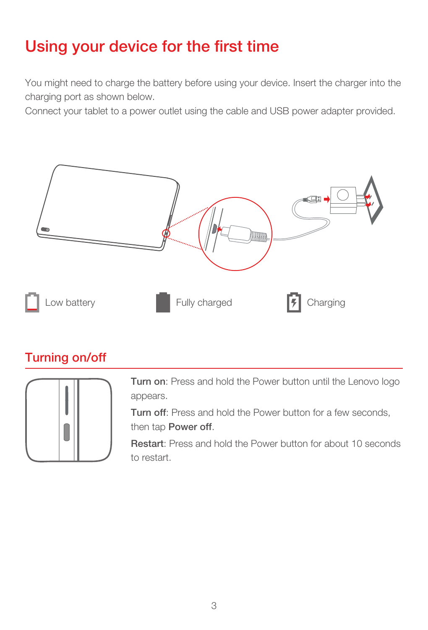## Using your device for the first time

You might need to charge the battery before using your device. Insert the charger into the charging port as shown below.

Connect your tablet to a power outlet using the cable and USB power adapter provided.



#### Turning on/off



Turn on: Press and hold the Power button until the Lenovo logo appears.

Turn off: Press and hold the Power button for a few seconds, then tap Power off.

Restart: Press and hold the Power button for about 10 seconds to restart.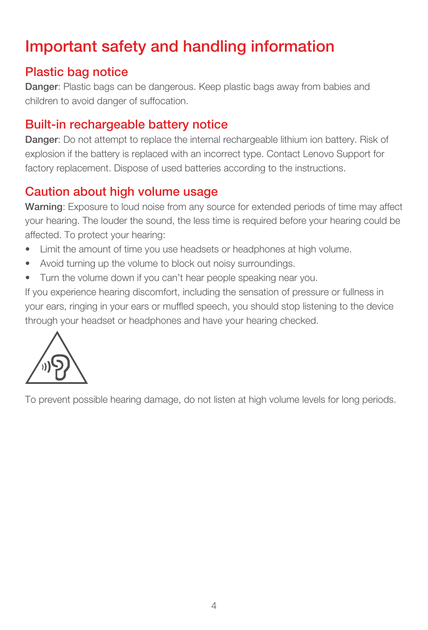## Important safety and handling information

#### Plastic bag notice

Danger: Plastic bags can be dangerous. Keep plastic bags away from babies and children to avoid danger of suffocation.

#### Built-in rechargeable battery notice

Danger: Do not attempt to replace the internal rechargeable lithium ion battery. Risk of explosion if the battery is replaced with an incorrect type. Contact Lenovo Support for factory replacement. Dispose of used batteries according to the instructions.

#### Caution about high volume usage

Warning: Exposure to loud noise from any source for extended periods of time may affect your hearing. The louder the sound, the less time is required before your hearing could be affected. To protect your hearing:

- Limit the amount of time you use headsets or headphones at high volume.
- • Avoid turning up the volume to block out noisy surroundings.
- • Turn the volume down if you can't hear people speaking near you.

If you experience hearing discomfort, including the sensation of pressure or fullness in your ears, ringing in your ears or muffled speech, you should stop listening to the device through your headset or headphones and have your hearing checked.



To prevent possible hearing damage, do not listen at high volume levels for long periods.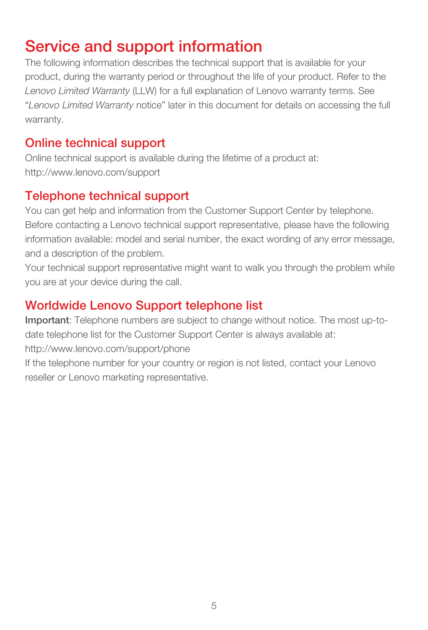## Service and support information

The following information describes the technical support that is available for your product, during the warranty period or throughout the life of your product. Refer to the *Lenovo Limited Warranty* (LLW) for a full explanation of Lenovo warranty terms. See "*Lenovo Limited Warranty* notice" later in this document for details on accessing the full warranty.

#### Online technical support

Online technical support is available during the lifetime of a product at: http://www.lenovo.com/support

#### Telephone technical support

You can get help and information from the Customer Support Center by telephone. Before contacting a Lenovo technical support representative, please have the following information available: model and serial number, the exact wording of any error message, and a description of the problem.

Your technical support representative might want to walk you through the problem while you are at your device during the call.

#### Worldwide Lenovo Support telephone list

Important: Telephone numbers are subject to change without notice. The most up-todate telephone list for the Customer Support Center is always available at: http://www.lenovo.com/support/phone

If the telephone number for your country or region is not listed, contact your Lenovo reseller or Lenovo marketing representative.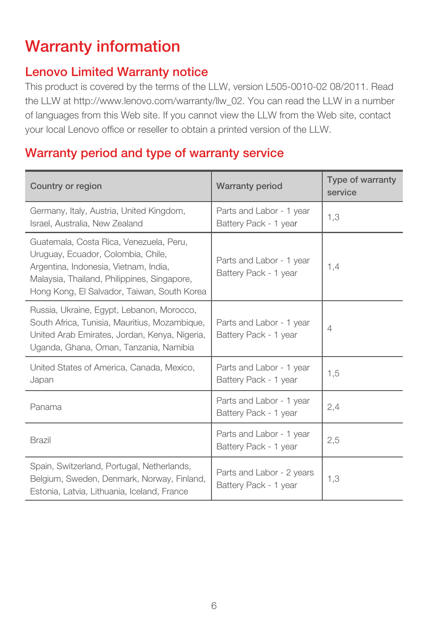## Warranty information

#### Lenovo Limited Warranty notice

This product is covered by the terms of the LLW, version L505-0010-02 08/2011. Read the LLW at http://www.lenovo.com/warranty/llw\_02. You can read the LLW in a number of languages from this Web site. If you cannot view the LLW from the Web site, contact your local Lenovo office or reseller to obtain a printed version of the LLW.

#### Warranty period and type of warranty service

| <b>Warranty period</b><br>Country or region                                                                                                                                                                          |                                                    | Type of warranty<br>service |
|----------------------------------------------------------------------------------------------------------------------------------------------------------------------------------------------------------------------|----------------------------------------------------|-----------------------------|
| Germany, Italy, Austria, United Kingdom,<br>Israel, Australia, New Zealand                                                                                                                                           | Parts and Labor - 1 year<br>Battery Pack - 1 year  | 1.3                         |
| Guatemala, Costa Rica, Venezuela, Peru,<br>Uruguay, Ecuador, Colombia, Chile,<br>Argentina, Indonesia, Vietnam, India,<br>Malaysia, Thailand, Philippines, Singapore,<br>Hong Kong, El Salvador, Taiwan, South Korea | Parts and Labor - 1 year<br>Battery Pack - 1 year  | 1.4                         |
| Russia, Ukraine, Egypt, Lebanon, Morocco,<br>South Africa, Tunisia, Mauritius, Mozambique,<br>United Arab Emirates, Jordan, Kenya, Nigeria,<br>Uganda, Ghana, Oman, Tanzania, Namibia                                | Parts and Labor - 1 year<br>Battery Pack - 1 year  | 4                           |
| United States of America, Canada, Mexico,<br>Japan                                                                                                                                                                   | Parts and Labor - 1 year<br>Battery Pack - 1 year  | 1,5                         |
| Panama                                                                                                                                                                                                               | Parts and Labor - 1 year<br>Battery Pack - 1 year  |                             |
| Brazil                                                                                                                                                                                                               | Parts and Labor - 1 year<br>Battery Pack - 1 year  | 2,5                         |
| Spain, Switzerland, Portugal, Netherlands,<br>Belgium, Sweden, Denmark, Norway, Finland,<br>Estonia, Latvia, Lithuania, Iceland, France                                                                              | Parts and Labor - 2 years<br>Battery Pack - 1 year | 1.3                         |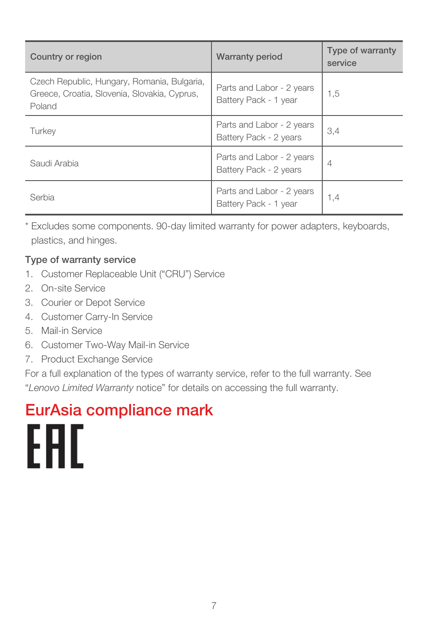| Country or region                                                                                     | <b>Warranty period</b>                              | Type of warranty<br>service |
|-------------------------------------------------------------------------------------------------------|-----------------------------------------------------|-----------------------------|
| Czech Republic, Hungary, Romania, Bulgaria,<br>Greece, Croatia, Slovenia, Slovakia, Cyprus,<br>Poland | Parts and Labor - 2 years<br>Battery Pack - 1 year  | 1,5                         |
| Turkev                                                                                                | Parts and Labor - 2 years<br>Battery Pack - 2 years | 3.4                         |
| Saudi Arabia                                                                                          | Parts and Labor - 2 years<br>Battery Pack - 2 years | $\overline{4}$              |
| Serbia                                                                                                | Parts and Labor - 2 years<br>Battery Pack - 1 year  | 1,4                         |

Excludes some components. 90-day limited warranty for power adapters, keyboards, plastics, and hinges.

#### Type of warranty service

- 1. Customer Replaceable Unit ("CRU") Service
- 2. On-site Service
- 3. Courier or Depot Service
- 4. Customer Carry-In Service
- 5. Mail-in Service
- 6. Customer Two-Way Mail-in Service
- 7. Product Exchange Service

For a full explanation of the types of warranty service, refer to the full warranty. See "*Lenovo Limited Warranty* notice" for details on accessing the full warranty.

# EurAsia compliance markEAD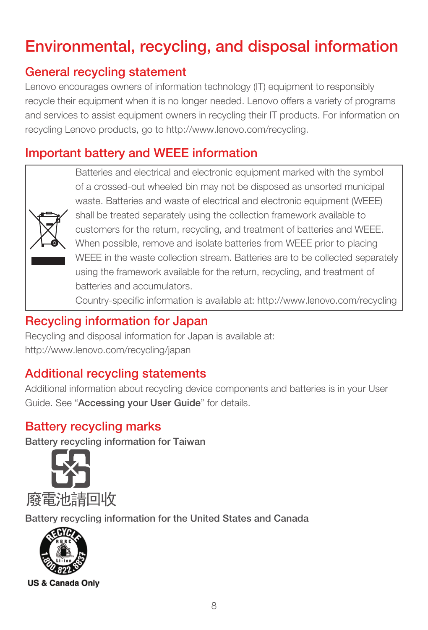## Environmental, recycling, and disposal information

#### General recycling statement

Lenovo encourages owners of information technology (IT) equipment to responsibly recycle their equipment when it is no longer needed. Lenovo offers a variety of programs and services to assist equipment owners in recycling their IT products. For information on recycling Lenovo products, go to http://www.lenovo.com/recycling.

#### Important battery and WEEE information



Batteries and electrical and electronic equipment marked with the symbol of a crossed-out wheeled bin may not be disposed as unsorted municipal waste. Batteries and waste of electrical and electronic equipment (WEEE) shall be treated separately using the collection framework available to customers for the return, recycling, and treatment of batteries and WEEE. When possible, remove and isolate batteries from WEEE prior to placing WEEE in the waste collection stream. Batteries are to be collected separately using the framework available for the return, recycling, and treatment of batteries and accumulators.

Country-specific information is available at: http://www.lenovo.com/recycling

#### Recycling information for Japan

Recycling and disposal information for Japan is available at: http://www.lenovo.com/recycling/japan

#### Additional recycling statements

Additional information about recycling device components and batteries is in your User Guide. See "Accessing your User Guide" for details.

#### Battery recycling marks

Battery recycling information for Taiwan



Battery recycling information for the United States and Canada

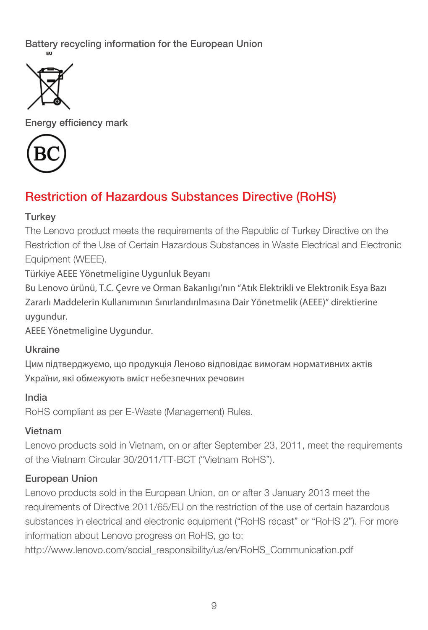Battery recycling information for the European Union



Energy efficiency mark



#### Restriction of Hazardous Substances Directive (RoHS)

#### Turkey

The Lenovo product meets the requirements of the Republic of Turkey Directive on the Restriction of the Use of Certain Hazardous Substances in Waste Electrical and Electronic Equipment (WEEE).

Türkiye AEEE Yönetmeligine Uygunluk Beyanı

Bu Lenovo ürünü, T.C. Çevre ve Orman Bakanlıgı'nın "Atık Elektrikli ve Elektronik Esya Bazı Zararlı Maddelerin Kullanımının Sınırlandırılmasına Dair Yönetmelik (AEEE)" direktierine uygundur.

AEEE Yönetmeligine Uygundur.

#### Ukraine

Цим підтверджуємо, що продукція Леново відповідає вимогам нормативних актів України, які обмежують вміст небезпечних речовин

#### India

RoHS compliant as per E-Waste (Management) Rules.

#### Vietnam

Lenovo products sold in Vietnam, on or after September 23, 2011, meet the requirements of the Vietnam Circular 30/2011/TT-BCT ("Vietnam RoHS").

#### European Union

Lenovo products sold in the European Union, on or after 3 January 2013 meet the requirements of Directive 2011/65/EU on the restriction of the use of certain hazardous substances in electrical and electronic equipment ("RoHS recast" or "RoHS 2"). For more information about Lenovo progress on RoHS, go to:

http://www.lenovo.com/social\_responsibility/us/en/RoHS\_Communication.pdf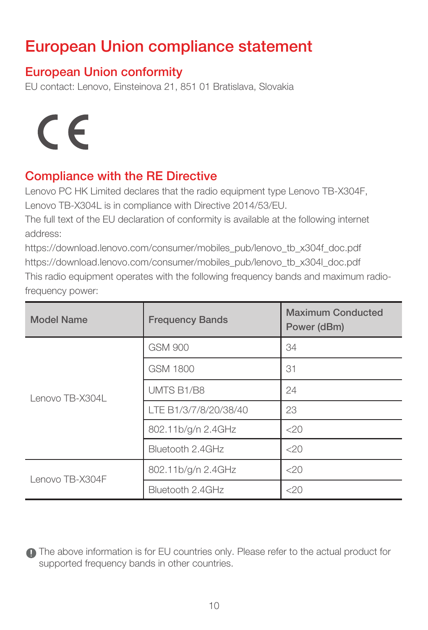## European Union compliance statement

#### European Union conformity

EU contact: Lenovo, Einsteinova 21, 851 01 Bratislava, Slovakia

# $\epsilon$

#### Compliance with the RE Directive

Lenovo PC HK Limited declares that the radio equipment type Lenovo TB-X304F, Lenovo TB-X304L is in compliance with Directive 2014/53/EU.

The full text of the EU declaration of conformity is available at the following internet address:

https://download.lenovo.com/consumer/mobiles\_pub/lenovo\_tb\_x304f\_doc.pdf https://download.lenovo.com/consumer/mobiles\_pub/lenovo\_tb\_x304l\_doc.pdf This radio equipment operates with the following frequency bands and maximum radiofrequency power:

| Model Name      | <b>Frequency Bands</b> | Maximum Conducted<br>Power (dBm) |
|-----------------|------------------------|----------------------------------|
| Lenovo TB-X304L | GSM 900                | 34                               |
|                 | GSM 1800               | 31                               |
|                 | <b>UMTS B1/B8</b>      | 24                               |
|                 | LTE B1/3/7/8/20/38/40  | 23                               |
|                 | 802.11b/g/n 2.4GHz     | 200                              |
|                 | Bluetooth 2.4GHz       | 200                              |
| Lenovo TB-X304F | 802.11b/g/n 2.4GHz     | 200                              |
|                 | Bluetooth 2.4GHz       | 200                              |

The above information is for EU countries only. Please refer to the actual product for supported frequency bands in other countries.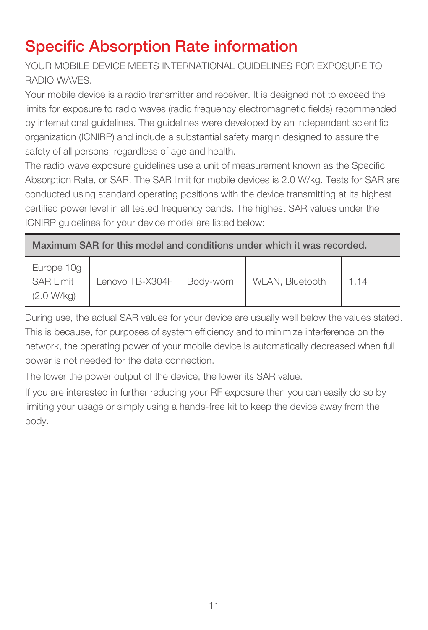## Specific Absorption Rate information

YOUR MOBILE DEVICE MEETS INTERNATIONAL GUIDELINES FOR EXPOSURE TO RADIO WAVES.

Your mobile device is a radio transmitter and receiver. It is designed not to exceed the limits for exposure to radio waves (radio frequency electromagnetic fields) recommended by international guidelines. The guidelines were developed by an independent scientific organization (ICNIRP) and include a substantial safety margin designed to assure the safety of all persons, regardless of age and health.

The radio wave exposure guidelines use a unit of measurement known as the Specific Absorption Rate, or SAR. The SAR limit for mobile devices is 2.0 W/kg. Tests for SAR are conducted using standard operating positions with the device transmitting at its highest certified power level in all tested frequency bands. The highest SAR values under the ICNIRP guidelines for your device model are listed below:

Maximum SAR for this model and conditions under which it was recorded.

| Europe 10g<br>SAR I imit<br>(2.0 W/kg) | Lenovo TB-X304F   Body-worn |  | WLAN, Bluetooth | 1.14 |
|----------------------------------------|-----------------------------|--|-----------------|------|
|----------------------------------------|-----------------------------|--|-----------------|------|

During use, the actual SAR values for your device are usually well below the values stated. This is because, for purposes of system efficiency and to minimize interference on the network, the operating power of your mobile device is automatically decreased when full power is not needed for the data connection.

The lower the power output of the device, the lower its SAR value.

If you are interested in further reducing your RF exposure then you can easily do so by limiting your usage or simply using a hands-free kit to keep the device away from the body.